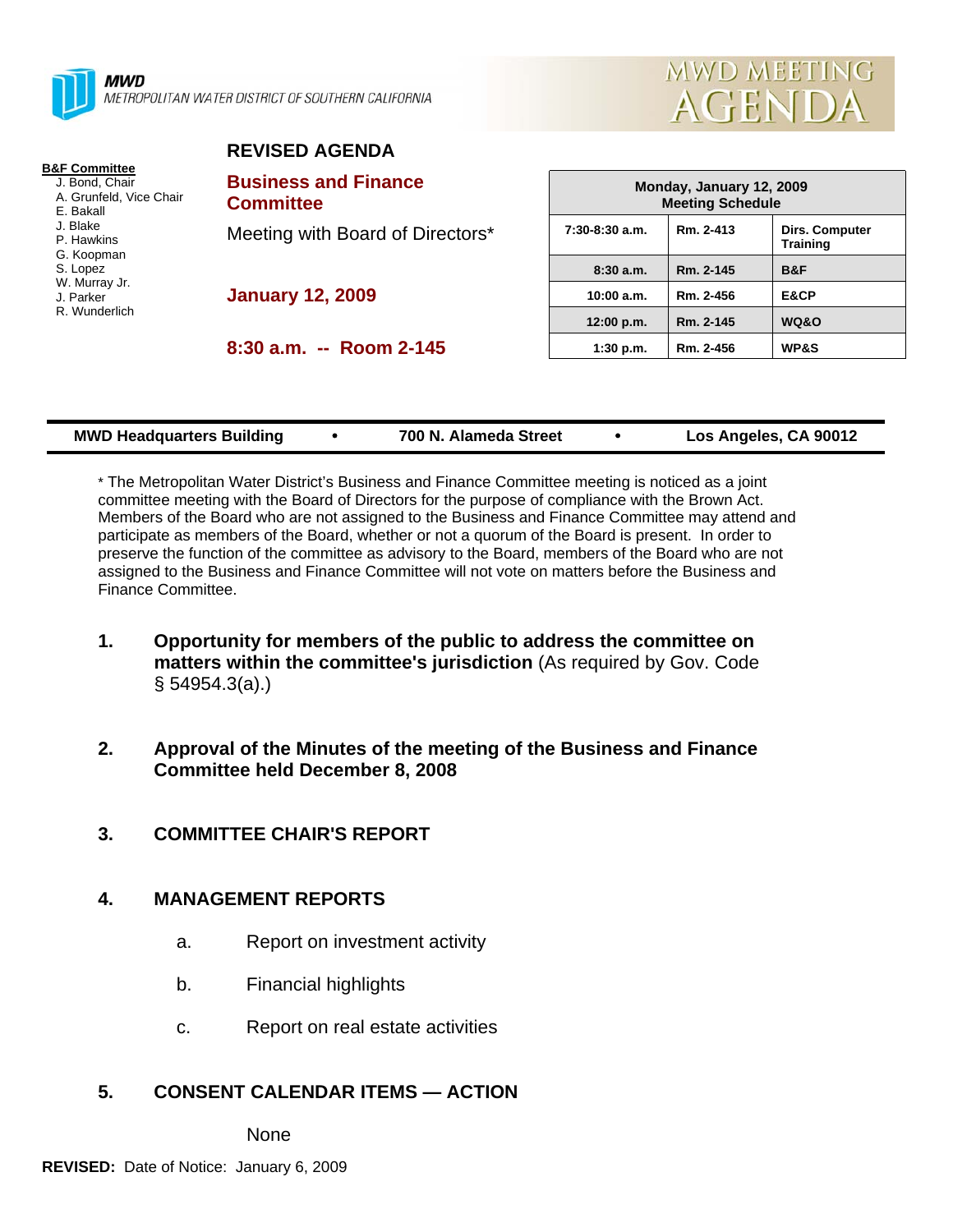

METROPOLITAN WATER DISTRICT OF SOUTHERN CALIFORNIA



#### **REVISED AGENDA**

| <b>B&amp;F Committee</b> |  |
|--------------------------|--|
| J. Bond, Chair           |  |
| A. Grunfeld, Vice Chair  |  |
| F. Bakall                |  |
| J. Blake                 |  |
| P. Hawkins               |  |
| G. Koopman               |  |
| S. Lopez                 |  |
| W. Murray Jr.            |  |
| J. Parker                |  |
| R. Wunderlich            |  |
|                          |  |
|                          |  |

| <b>Business and Finance</b><br><b>Committee</b> |
|-------------------------------------------------|
| Meeting with Board of Directors*                |
|                                                 |

**January 12, 2009** 

**8:30 a.m. -- Room 2-145** 

| Monday, January 12, 2009<br><b>Meeting Schedule</b> |           |                                          |  |  |  |  |  |
|-----------------------------------------------------|-----------|------------------------------------------|--|--|--|--|--|
| $7:30-8:30$ a.m.                                    | Rm. 2-413 | <b>Dirs. Computer</b><br><b>Training</b> |  |  |  |  |  |
| 8:30a.m.                                            | Rm. 2-145 | B&F                                      |  |  |  |  |  |
| 10:00 a.m.                                          | Rm. 2-456 | E&CP                                     |  |  |  |  |  |
| 12:00 p.m.                                          | Rm. 2-145 | <b>WQ&amp;O</b>                          |  |  |  |  |  |
| 1:30 p.m.                                           | Rm. 2-456 | <b>WP&amp;S</b>                          |  |  |  |  |  |

| <b>MWD Headquarters Building</b> | 700 N. Alameda Street | Los Angeles, CA 90012 |
|----------------------------------|-----------------------|-----------------------|
|                                  |                       |                       |

\* The Metropolitan Water District's Business and Finance Committee meeting is noticed as a joint committee meeting with the Board of Directors for the purpose of compliance with the Brown Act. Members of the Board who are not assigned to the Business and Finance Committee may attend and participate as members of the Board, whether or not a quorum of the Board is present. In order to preserve the function of the committee as advisory to the Board, members of the Board who are not assigned to the Business and Finance Committee will not vote on matters before the Business and Finance Committee.

- **1. Opportunity for members of the public to address the committee on matters within the committee's jurisdiction** (As required by Gov. Code § 54954.3(a).)
- **2. Approval of the Minutes of the meeting of the Business and Finance Committee held December 8, 2008**
- **3. COMMITTEE CHAIR'S REPORT**

### **4. MANAGEMENT REPORTS**

- a. Report on investment activity
- b. Financial highlights
- c. Report on real estate activities

### **5. CONSENT CALENDAR ITEMS — ACTION**

None